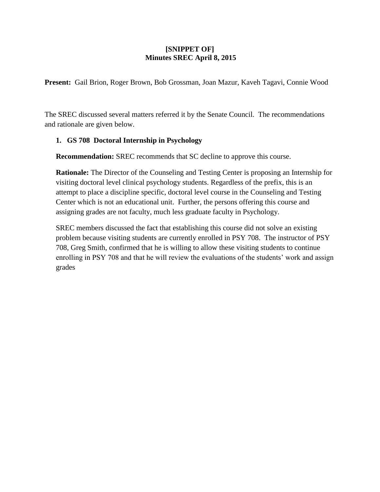## **[SNIPPET OF] Minutes SREC April 8, 2015**

**Present:** Gail Brion, Roger Brown, Bob Grossman, Joan Mazur, Kaveh Tagavi, Connie Wood

The SREC discussed several matters referred it by the Senate Council. The recommendations and rationale are given below.

## **1. GS 708 Doctoral Internship in Psychology**

**Recommendation:** SREC recommends that SC decline to approve this course.

**Rationale:** The Director of the Counseling and Testing Center is proposing an Internship for visiting doctoral level clinical psychology students. Regardless of the prefix, this is an attempt to place a discipline specific, doctoral level course in the Counseling and Testing Center which is not an educational unit. Further, the persons offering this course and assigning grades are not faculty, much less graduate faculty in Psychology.

SREC members discussed the fact that establishing this course did not solve an existing problem because visiting students are currently enrolled in PSY 708. The instructor of PSY 708, Greg Smith, confirmed that he is willing to allow these visiting students to continue enrolling in PSY 708 and that he will review the evaluations of the students' work and assign grades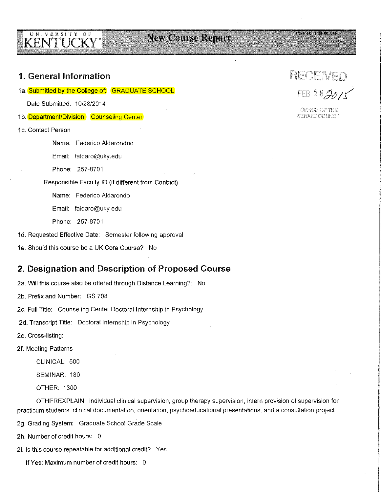# **New Course Report**

#### **MARINE REAS SO AM**

# 1. General Information

UNIVERSITY OF

KENTÜCKY

1a. Submitted by the College of: GRADUATE SCHOOL

Date Submitted: 10/28/2014

- 1b. Department/Division: Counseling Center
- 1c. Contact Person

Name: Federico Aldarondno

Email: faldaro@uky.edu

Phone: 257-8701

Responsible Faculty ID (if different from Contact)

Name: Federico Aldarondo

Email: faldaro@uky.edu

Phone: 257-8701

1d. Requested Effective Date: Semester following approval

· 1e. Should this course be a UK Core Course? No

# 2. Designation and Description of Proposed Course

2a. Will this course also be offered through Distance Learning?: No

2b. Prefix and Number: GS 708

2c. Full Title: Counseling Center Doctoral Internship in Psychology

2d. Transcript Title: Doctoral Internship in Psychology

2e. Cross-listing:

2f. Meeting Patterns

CLINICAL: 500

SEMINAR: 180

OTHER: 1300

OTHEREXPLAIN: individual clinical supervision, group therapy supervision, intern provision of supervision for practicum students, clinical documentation, orientation, psychoeducational presentations, and a consultation project

2g. Grading System: Graduate School Grade Scale

2h. Number of credit hours: 0

2i. Is this course repeatable for additional credit? Yes

If Yes: Maximum number of credit hours: 0

RECEIVED

FEB 282015

**International Card** 

*i* i

**Visit Control Communication** 

i[ **International Community International Internet** jl recommendated internal **INTERNATION** 

**II** 

!

OFFICE OF THE SENATE COUNCIL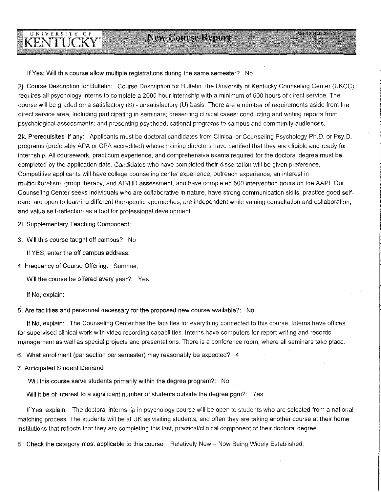# UNIVERSITY OF KËNTUCKY

If Yes: Will this course allow multiple registrations during the same semester? No

2j. Course Description for Bulletin: Course Description for Bulletin The University of Kentucky Counseling Center (UKCC) requires all psychology interns to complete a 2000 hour internship with a minimum of 500 hours of direct service. The course will be graded on a satisfactory (S) - unsatisfactory (U) basis. There are a number of requirements aside from the direct service area, including participating in seminars; presenting clinical cases; conducting and writing reports from psychological assessments; and presenting psychoeducational programs to campus and community audiences.

2k. Prerequisites, if any: Applicants must be doctoral candidates from Clinical or Counseling Psychology Ph.D. or Psy.D. programs (preferably APA or CPA accredited) whose training directors have certified that they are eligible and ready for internship. All coursework, practicum experience, and comprehensive exams required for the doctoral degree must be completed by the application date. Candidates who have completed their dissertation will be given preference. Competitive applicants will have college counseling center experience, outreach experience, an interest in multiculturalism, group therapy, and AD/HD assessment, and have completed 500 intervention hours on the AAPI. Our Counseling Center seeks individuals who are collaborative in nature, have strong communication skills, practice good selfcare, are open to learning different therapeutic approaches, are independent while valuing consultation and collaboration, and value self-reflection as a tool for professional development.

21. Supplementary Teaching Component:

3. Will this course taught off campus? No

If YES, enter the off campus address:

4. Frequency of Course Offering: Summer,

Will the course be offered every year?: Yes

If No, explain:

5. Are facilities and personnel necessary for the proposed new course available?: No

If No, explain: The Counseling Center has the facilities for everything connected to this course. Interns have offices for supervised clinical work with video recording capabilities. Interns have computers for report writing and records management as well as special projects and presentations. There is a conference room, where all seminars take place.

6. Wihat enrollment (per section per semester) may reasonably be expected?: 4

7. Anticipated Student Demand

Will this course serve students primarily within the degree program?: No

Will it be of interest to a significant number of students outside the degree pgm?: Yes

If Yes, explain: The doctoral internship in psychology course will be open to students who are selected from a national matching process. The students will be at UK as visiting students, and often they are taking another course at their home institutions that reflects that they are completing this last, practical/clinical component of their doctoral degree.

8. Check the category most applicable to this course: Relatively New- Now Being Widely Established,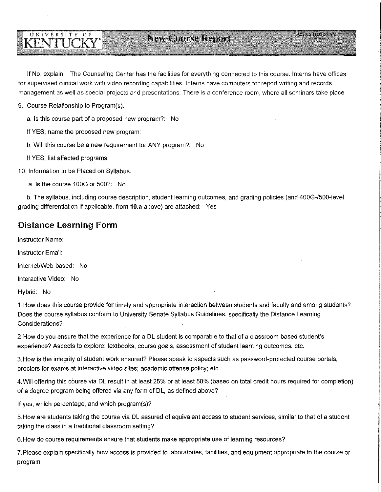# **New Course Report**

If No, explain: The Counseling Center has the facilities for everything connected to this course. Interns have offices for supervised clinical work with video recording capabilities. Interns have computers for report writing and records management as well as special projects and presentations. There is a conference room, where all seminars take place.

9. Course Relationship to Program(s).

UNIVERSITY OF

**KENTUCKY** 

a. Is this course part of a proposed new program?: No

If YES, name the proposed new program:

b. Will this course be a new requirement for ANY program?: No

If YES, list affected programs:

10. Information to be Placed on Syllabus.

a. Is the course 400G or 500?: No

b. The syllabus, including course description, student learning outcomes, and grading policies (and 400G-/500-Ievel grading differentiation if applicable, from **10.a** above) are attached: Yes

## Distance Learning **Form**

Instructor Name:

Instructor Email:

Internet/Web-based: No

Interactive Video: No

Hybrid: No

1. How does this course provide for timely and appropriate interaction between students and faculty and among students? Does the course syllabus conform to University Senate Syllabus Guidelines, specifically the Distance Learning Considerations?

2. How do you ensure that the experience for a DL student is comparable to that of a classroom-based student's experience? Aspects to explore: textbooks, course goals, assessment of student learning outcomes, etc.

3. How is the integrity of student work ensured? Please speak to aspects such as password-protected course portals, proctors for exams at interactive video sites; academic offense policy; etc.

4. Will offering this course via DL result in at least 25% or at least 50% (based on total credit hours required for completion) of a degree program being offered via any form of DL, as defined above?

If yes, which percentage, and which program(s)?

5. How are students taking the course via DL assured of equivalent access to student services, similar to that of a student taking the class in a traditional classroom setting?

6. How do course requirements ensure that students make appropriate use of learning resources?

?.Please explain specifically how access is provided to laboratories, facilities, and equipment appropriate to the course or program.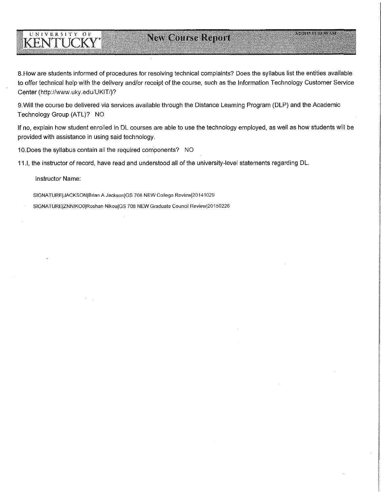# **New Course Report**

8.How are students informed of procedures for resolving technical complaints? Does the syllabus list the entities available to offer technical help with the delivery and/or receipt of the course, such as the Information Technology Customer Service Center (http://www.uky.edu/UKIT/)?

9.Will the course be delivered via services available through the Distance Learning Program (DLP) and the Academic Technology Group (ATL)? NO

If no, explain how student enrolled in DL courses are able to use the technology employed, as well as how students will be provided with assistance in using said technology.

10.Does the syllabus contain all the required components? NO

11.1, the instructor of record, have read and understood all of the university-level statements regarding DL.

Instructor Name:

UNIVERSITY OF

**KENTLICKY** 

SIGNATUREIJACKSONIBrian A JacksoniGS 708 NEW College Reviewl20141029

SIGNATUREIZNNIKOOIRoshan NikouiGS 708 NEW Graduate Council Reviewl20150226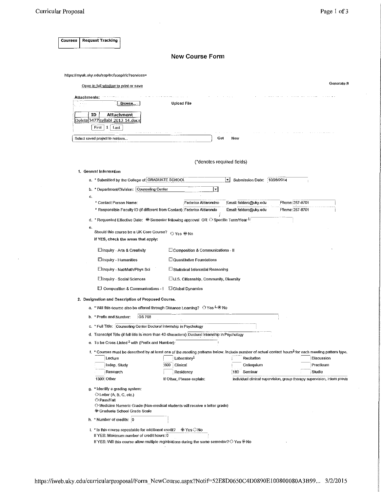$\sim$ 

 $\hat{\boldsymbol{\beta}}$ 

|              |                                                                                                     | <b>New Course Form</b>                     |                                    |                                                                                                                                                                  |
|--------------|-----------------------------------------------------------------------------------------------------|--------------------------------------------|------------------------------------|------------------------------------------------------------------------------------------------------------------------------------------------------------------|
|              | https://myuk.uky.edu/sap/bc/soap/rfc?services=                                                      |                                            |                                    |                                                                                                                                                                  |
|              | Open in full window to print or save                                                                |                                            |                                    | Generate R                                                                                                                                                       |
|              |                                                                                                     |                                            |                                    |                                                                                                                                                                  |
| Attachments: | Browse.                                                                                             | <b>Upload File</b>                         |                                    |                                                                                                                                                                  |
| ID           | Attachment                                                                                          |                                            |                                    |                                                                                                                                                                  |
| Delete 3477  | svil <u>abi 2013 14.docx</u>                                                                        |                                            |                                    |                                                                                                                                                                  |
|              | Last<br>First<br>1                                                                                  |                                            |                                    |                                                                                                                                                                  |
|              | Select saved project to retrieve                                                                    | Get                                        | New                                |                                                                                                                                                                  |
|              |                                                                                                     |                                            |                                    |                                                                                                                                                                  |
|              |                                                                                                     | (*denotes required fields)                 |                                    |                                                                                                                                                                  |
|              | 1. General Information                                                                              |                                            |                                    |                                                                                                                                                                  |
|              | a. * Submitted by the College of: GRADUATE SCHOOL                                                   |                                            | Submission Date: 10/28/2014<br>ŀγ. |                                                                                                                                                                  |
|              | b. * Department/Division: Counseling Center                                                         | احا                                        |                                    |                                                                                                                                                                  |
| c.           | * Contact Person Name:                                                                              | Federico Aldarondno                        | Email: faldaro@uky.edu             | Phone, 257-8701                                                                                                                                                  |
|              | * Responsible Faculty ID (if different from Contact) Federico Aldarondo                             |                                            | Email: faldaro@uky.edu             | Phone: 257-8701                                                                                                                                                  |
|              | d. * Requested Effective Date: @ Semester following approval OR $\odot$ Specific Term/Year $^{11}$  |                                            |                                    |                                                                                                                                                                  |
| е.           |                                                                                                     |                                            |                                    |                                                                                                                                                                  |
|              | Should this course be a UK Core Course?<br>If YES, check the areas that apply:                      | O Yes O No                                 |                                    |                                                                                                                                                                  |
|              | Inquiry - Arts & Creativity                                                                         | Composition & Communications - II          |                                    |                                                                                                                                                                  |
|              | linquiry - Humanities                                                                               | <b>El Quantitative Foundations</b>         |                                    |                                                                                                                                                                  |
|              | C Inquiry - Nat/Math/Phys Sci                                                                       | Statistical Inferential Reasoning          |                                    |                                                                                                                                                                  |
|              | Inquiry - Social Sciences                                                                           | U.S. Citizenship, Community, Diversity     |                                    |                                                                                                                                                                  |
|              | Composition & Communications - I                                                                    | <b>B</b> Global Dynamics                   |                                    |                                                                                                                                                                  |
|              | 2. Designation and Description of Proposed Course.                                                  |                                            |                                    |                                                                                                                                                                  |
| а,           | * Will this course also be offered through Distance Learning? $\circledcirc$ Yes $4\circledcirc$ No |                                            |                                    |                                                                                                                                                                  |
|              | b. * Prefix and Number:<br><b>GS 708</b>                                                            |                                            |                                    |                                                                                                                                                                  |
|              | c. * Full Title: Counseling Center Doctoral Internship in Psychology                                |                                            |                                    |                                                                                                                                                                  |
|              | d. Transcript Title (if full title is more than 40 characters): Doctoral Internship in Psychology   |                                            |                                    |                                                                                                                                                                  |
|              | e. To be Cross-Listed <sup>2</sup> with (Prefix and Number):                                        |                                            |                                    |                                                                                                                                                                  |
|              |                                                                                                     |                                            |                                    | f. * Courses must be described by at least one of the meeting patterns below. Include number of actual contact hours <sup>3</sup> for each meeting pattern type. |
|              | Lecture<br>Indep. Study                                                                             | Laboratory <sup>1</sup><br>500<br>Clinical | Recitation<br>Colloquium           | Discussion<br>Practicum                                                                                                                                          |
|              | Research                                                                                            | Residency                                  | 180 Seminar                        | Studio                                                                                                                                                           |
|              | 1300 Other                                                                                          | If Other, Please explain:                  |                                    | individual clinical supervision, group therapy supervision, intern provis                                                                                        |
|              | g. * Identify a grading system:                                                                     |                                            |                                    |                                                                                                                                                                  |
|              |                                                                                                     |                                            |                                    |                                                                                                                                                                  |
|              | $\circlearrowright$ Letter (A; B, C, etc.)<br>O Pass/Fall                                           |                                            |                                    |                                                                                                                                                                  |
|              | © Medicine Numeric Grade (Non-medical students will receive a letter grade)                         |                                            |                                    |                                                                                                                                                                  |
|              | <sup>®</sup> Graduate School Grade Scale<br>h. * Number of credits: 0                               |                                            |                                    |                                                                                                                                                                  |

 $\sim$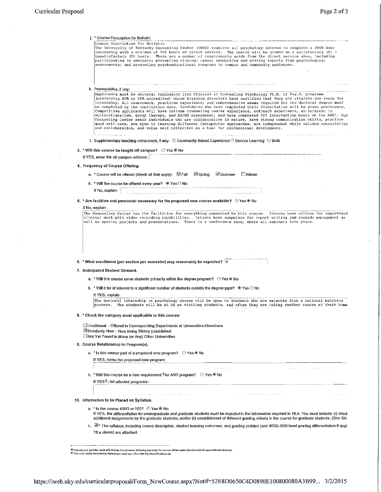$\sim 10^{-1}$ 

 $\mathcal{L}_{\mathcal{A}}$ 

 $\mathcal{L}$ 

 $\bar{\beta}$ 

 $\bar{\beta}$ 

l.

| * Course Description for Bulletin:                                                                                                                                                                                                                                                                                                                                                                                                                                                                                                                                                                                                                                                                                                                                                                                                                                                                                                                                                                                                                                               |
|----------------------------------------------------------------------------------------------------------------------------------------------------------------------------------------------------------------------------------------------------------------------------------------------------------------------------------------------------------------------------------------------------------------------------------------------------------------------------------------------------------------------------------------------------------------------------------------------------------------------------------------------------------------------------------------------------------------------------------------------------------------------------------------------------------------------------------------------------------------------------------------------------------------------------------------------------------------------------------------------------------------------------------------------------------------------------------|
| Course Description for Bulletin<br>The University of Kentucky Counseling Center (UKCC) requires all psychology interns to complete a 2000 hour<br>internship with a minimum of 500 hours of direct service. The course will be graded on a satisfactory (S) -<br>unsatisfactory (U) basis. There are a number of requirements aside from the direct service area, including<br>participating in seminars; presenting clinical cases; conducting and writing reports from psychological<br>assessments; and presenting psychoeducational programs to campus and community audiences.                                                                                                                                                                                                                                                                                                                                                                                                                                                                                              |
|                                                                                                                                                                                                                                                                                                                                                                                                                                                                                                                                                                                                                                                                                                                                                                                                                                                                                                                                                                                                                                                                                  |
| $\mathcal{L}^{\mathcal{A}}(\mathcal{A},\mathcal{A})=\mathcal{L}^{\mathcal{A}}(\mathcal{A},\mathcal{A})=\mathcal{L}^{\mathcal{A}}(\mathcal{A},\mathcal{A})=\mathcal{L}^{\mathcal{A}}(\mathcal{A},\mathcal{A})=\mathcal{L}^{\mathcal{A}}(\mathcal{A},\mathcal{A})=\mathcal{L}^{\mathcal{A}}(\mathcal{A},\mathcal{A})=\mathcal{L}^{\mathcal{A}}(\mathcal{A},\mathcal{A})=\mathcal{L}^{\mathcal{A}}(\mathcal{A},\mathcal{A})=\mathcal{L}^{\mathcal{A}}(\mathcal{A},\$<br>k. Prerequisites, if any:<br>Applicants must be doctoral candidates from Clinical or Counseling Psychology Ph.D. or Psy.D. programs<br>(preferably APA or CPA accredited) whose training directors have certified that they are eligible and ready for<br>internship. All coursework, practicum experience, and comprehensive exams required for the doctoral degree must<br>be completed by the application date. Candidates who have completed their dissertation will be given preference.<br>Competitive applicants will have college counseling center experience, outreach experience, an interest in |
| multiculturalism, group therapy, and AD/HD assessment, and have completed 500 intervention hours on the AAPI. Our<br>Counseling Center seeks individuals who are collaborative in nature, have strong communication skills, practice<br>good self-care, are open to learning different therapeutic approaches, are independent while valuing consultation<br>and collaboration, and value self-reflection as a tool for professional development.                                                                                                                                                                                                                                                                                                                                                                                                                                                                                                                                                                                                                                |
| 1. Supplementary teaching component, if any: $\,\circlearrowright\,$ Community-Based Experience $\odot$ Service Learning $\,\circlearrowright\,$ Both                                                                                                                                                                                                                                                                                                                                                                                                                                                                                                                                                                                                                                                                                                                                                                                                                                                                                                                            |
| 3. * Will this course be taught off campus? $\circ$ Yes $\circledast$ No                                                                                                                                                                                                                                                                                                                                                                                                                                                                                                                                                                                                                                                                                                                                                                                                                                                                                                                                                                                                         |
| If YES, enter the off campus address:<br>and a strategic control of                                                                                                                                                                                                                                                                                                                                                                                                                                                                                                                                                                                                                                                                                                                                                                                                                                                                                                                                                                                                              |
| 4. Frequency of Course Offering.                                                                                                                                                                                                                                                                                                                                                                                                                                                                                                                                                                                                                                                                                                                                                                                                                                                                                                                                                                                                                                                 |
| <b>Z</b> Spring<br><b>⊠</b> Summer<br>□ Winter<br>a. * Course will be offered (check all that apply): K Fall                                                                                                                                                                                                                                                                                                                                                                                                                                                                                                                                                                                                                                                                                                                                                                                                                                                                                                                                                                     |
| b. * Will the course be offered every year? $\circledcirc$ Yes $\circledcirc$ No                                                                                                                                                                                                                                                                                                                                                                                                                                                                                                                                                                                                                                                                                                                                                                                                                                                                                                                                                                                                 |
| If No. explain:                                                                                                                                                                                                                                                                                                                                                                                                                                                                                                                                                                                                                                                                                                                                                                                                                                                                                                                                                                                                                                                                  |
| 5. * Are facilities and personnel necessary for the proposed new course available? $\circ$ Yes $\circ$ No                                                                                                                                                                                                                                                                                                                                                                                                                                                                                                                                                                                                                                                                                                                                                                                                                                                                                                                                                                        |
| If No, explain:                                                                                                                                                                                                                                                                                                                                                                                                                                                                                                                                                                                                                                                                                                                                                                                                                                                                                                                                                                                                                                                                  |
|                                                                                                                                                                                                                                                                                                                                                                                                                                                                                                                                                                                                                                                                                                                                                                                                                                                                                                                                                                                                                                                                                  |
| 6. * What enrollment (per section per semester) may reasonably be expected? $ 4 $                                                                                                                                                                                                                                                                                                                                                                                                                                                                                                                                                                                                                                                                                                                                                                                                                                                                                                                                                                                                |
| 7. Anticipated Student Demand.                                                                                                                                                                                                                                                                                                                                                                                                                                                                                                                                                                                                                                                                                                                                                                                                                                                                                                                                                                                                                                                   |
| a. * Will this course serve students primarily within the degree program? $\circ$ Yes $\circ$ No                                                                                                                                                                                                                                                                                                                                                                                                                                                                                                                                                                                                                                                                                                                                                                                                                                                                                                                                                                                 |
| b. * Will it be of interest to a significant number of students outside the degree pam? $\circledR$ Yes $\circlearrowright$ No                                                                                                                                                                                                                                                                                                                                                                                                                                                                                                                                                                                                                                                                                                                                                                                                                                                                                                                                                   |
| If YES, explain;<br>The doctoral internship in psychology course will be open to students who are selected from a national matching                                                                                                                                                                                                                                                                                                                                                                                                                                                                                                                                                                                                                                                                                                                                                                                                                                                                                                                                              |
| process. The students will be at UK as visiting students, and often they are taking another course at their home<br>the contract of the contract of the                                                                                                                                                                                                                                                                                                                                                                                                                                                                                                                                                                                                                                                                                                                                                                                                                                                                                                                          |
| 8. * Check the category most applicable to this course:                                                                                                                                                                                                                                                                                                                                                                                                                                                                                                                                                                                                                                                                                                                                                                                                                                                                                                                                                                                                                          |
| □ Traditional – Offered in Corresponding Departments at Universities Elsewhere<br>■Relatively New - Now Being Widely Established<br>Not Yet Found in Many (or Any) Other Universities                                                                                                                                                                                                                                                                                                                                                                                                                                                                                                                                                                                                                                                                                                                                                                                                                                                                                            |
| 9. Course Relationship to Program(s).                                                                                                                                                                                                                                                                                                                                                                                                                                                                                                                                                                                                                                                                                                                                                                                                                                                                                                                                                                                                                                            |
| a. * Is this course part of a proposed new program? $\circ$ Yes $\circ$ No                                                                                                                                                                                                                                                                                                                                                                                                                                                                                                                                                                                                                                                                                                                                                                                                                                                                                                                                                                                                       |
| If YES, name the proposed new program:                                                                                                                                                                                                                                                                                                                                                                                                                                                                                                                                                                                                                                                                                                                                                                                                                                                                                                                                                                                                                                           |
| in an an A                                                                                                                                                                                                                                                                                                                                                                                                                                                                                                                                                                                                                                                                                                                                                                                                                                                                                                                                                                                                                                                                       |
| b. * Will this course be a new requirement $^{5}$ for ANY program? $\heartsuit$ Yes $\circledast$ No                                                                                                                                                                                                                                                                                                                                                                                                                                                                                                                                                                                                                                                                                                                                                                                                                                                                                                                                                                             |
| If YES <sup>5</sup> , list affected programs::                                                                                                                                                                                                                                                                                                                                                                                                                                                                                                                                                                                                                                                                                                                                                                                                                                                                                                                                                                                                                                   |
| a construction of the material companion of the construction of the construction of the construction of the construction of the construction of the construction of the construction of the construction of the construction o                                                                                                                                                                                                                                                                                                                                                                                                                                                                                                                                                                                                                                                                                                                                                                                                                                                   |
| 10. Information to be Placed on Syllabus.                                                                                                                                                                                                                                                                                                                                                                                                                                                                                                                                                                                                                                                                                                                                                                                                                                                                                                                                                                                                                                        |
| a, $*$ is the course 400G or 500? $\bigcirc$ Yes $\circledcirc$ No<br>If YES, the differentiation for undergraduate and graduate students must be included in the information required in 10.b. You must include: (i) identi-<br>additional assignments by the graduate students; and/or (ii) establishment of different grading criteria in the course for graduate students. (See SR                                                                                                                                                                                                                                                                                                                                                                                                                                                                                                                                                                                                                                                                                           |
| b. [2] * The syllabus, including course description, student learning outcomes, and grading policies (and 400G-/500-level grading differentiation if appl<br>10.a above) are attached.                                                                                                                                                                                                                                                                                                                                                                                                                                                                                                                                                                                                                                                                                                                                                                                                                                                                                           |
|                                                                                                                                                                                                                                                                                                                                                                                                                                                                                                                                                                                                                                                                                                                                                                                                                                                                                                                                                                                                                                                                                  |

Ш Courses are typically made effective for the semester following approval. No course will be made effective until all approvals are received.<br><sup>E3</sup> The chair of the cross-listing department must sign off on the Signature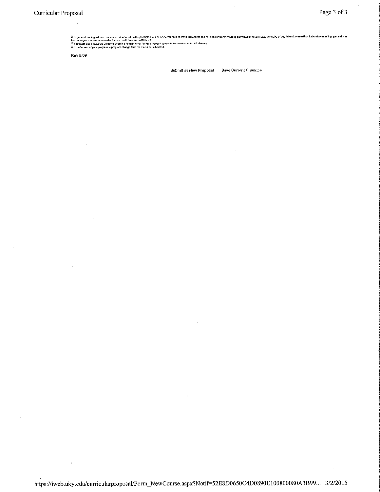Ш in general, undergraduate courses are developed on the principle that one semester hour of credit represents one how of classroom meeting per wask for a semester, exclusive of any iaboratory meeting. Laboratory meetin

Rev8/09

Submit as New Proposal Save Current Changes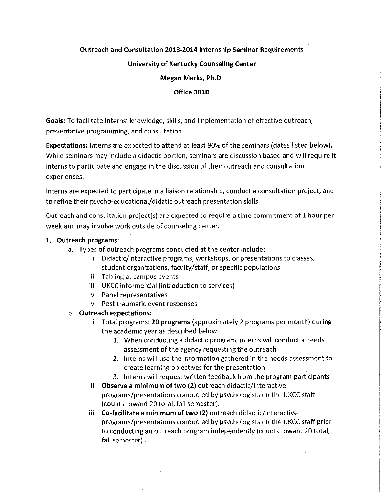### Outreach and Consultation 2013-2014 Internship Seminar Requirements

### University of Kentucky Counseling Center

Megan Marks, Ph.D.

#### Office 3010

Goals: To facilitate interns' knowledge, skills, and implementation of effective outreach, preventative programming, and consultation.

Expectations: Interns are expected to attend at least 90% of the seminars (dates listed below). While seminars may include a didactic portion, seminars are discussion based and will require it interns to participate and engage in the discussion of their outreach and consultation experiences.

Interns are expected to participate in a liaison relationship, conduct a consultation project, and to refine their psycho-educational/didatic outreach presentation skills.

Outreach and consultation project(s) are expected to require a time commitment of 1 hour per week and may involve work outside of counseling center.

### 1. Outreach programs:

- a. Types of outreach programs conducted at the center include:
	- i. Didactic/interactive programs, workshops, or presentations to classes, student organizations, faculty/staff, or specific populations
	- ii. Tabling at campus events
	- iii. UKCC informercial (introduction to services)
	- iv. Panel representatives
	- v. Post traumatic event responses

### b. Outreach expectations:

- i. Total programs: 20 programs (approximately 2 programs per month) during the academic year as described below
	- 1. When conducting a didactic program, interns will conduct a needs assessment of the agency requesting the outreach
	- 2. Interns will use the information gathered in the needs assessment to create learning objectives for the presentation
	- 3. Interns will request written feedback from the program participants
- ii. Observe a minimum of two (2) outreach didactic/interactive programs/presentations conducted by psychologists on the UKCC staff (counts toward 20 total; fall semester).
- iii. Co-facilitate a minimum of two (2) outreach didactic/interactive programs/presentations conducted by psychologists on the UKCC staff prior to conducting an outreach program independently (counts toward 20 total; fall semester) .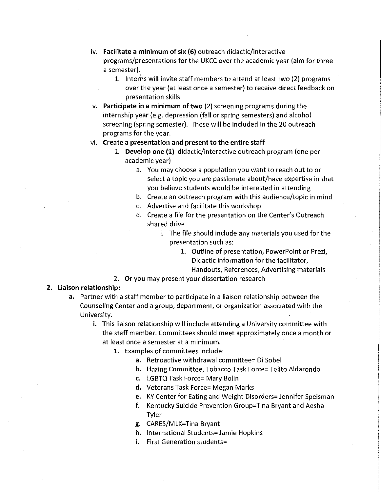- iv. **Facilitate a minimum of six (6)** outreach didactic/interactive programs/presentations for the UKCC over the academic year (aim for three a semester).
	- 1. Interns will invite staff members to attend at least two {2) programs over the year (at least once a semester) to receive direct feedback on presentation skills.
- v. **Participate in a minimum of two** {2) screening programs during the internship year (e.g. depression (fall or spring semesters) and alcohol screening (spring semester). These will be included in the 20 outreach programs for the year.

#### vi. **Create a presentation and present to the entire staff**

- 1. **Develop one (1)** didactic/interactive outreach program (one per academic year)
	- a. You may choose a population you want to reach out to or select a topic you are passionate about/have expertise in that you believe students would be interested in attending
	- b. Create an outreach program with this audience/topic in mind
	- c. Advertise and facilitate this workshop
	- d. Create a file for the presentation on the Center's Outreach shared drive
		- i. The file should include any materials you used for the presentation such as:
			- 1. Outline of presentation, PowerPoint or Prezi, Didactic information for the facilitator,

Handouts, References, Advertising materials

2. **Or** you may present your dissertation research

#### **2. Liaison relationship:**

- a. Partner with a staff member to participate in a liaison relationship between the Counseling Center and a group, department, or organization associated with the University.
	- **i.** This liaison relationship will include attending a University committee with the staff member. Committees should meet approximately once a month or at least once a semester at a minimum.
		- **1.** Examples of committees include:
			- a. Retroactive withdrawal committee= Di Sobel
			- **b.** Hazing Committee, Tobacco Task Force= Felito Aldarondo
			- **c.** LGBTQ Task Force= Mary Bolin
			- **d.** Veterans Task Force= Megan Marks
			- e. KY Center for Eating and Weight Disorders= Jennifer Speisman
			- **f.** Kentucky Suicide Prevention Group= Tina Bryant and Aesha Tyler
			- g. CARES/MLK=Tina Bryant
			- **h.** International Students= Jamie Hopkins
			- **i.** First Generation students=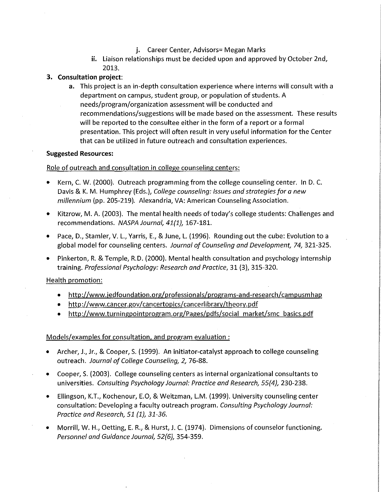- **j.** Career Center, Advisors= Megan Marks
- **ii.** Liaison relationships must be decided upon and approved by October 2nd, 2013.

### **3. Consultation project:**

a. This project is an in-depth consultation experience where interns will consult with a department on campus, student group, or population of students. A needs/program/organization assessment will be conducted and recommendations/suggestions will be made based on the assessment. These results will be reported to the consultee either in the form of a report or a formal presentation. This project will often result in very useful information for the Center that can be utilized in future outreach and consultation experiences.

### **Suggested Resources:**

### Role of outreach and consultation in college counseling centers:

- Kern, C. W. (2000). Outreach programming from the college counseling center. In D. C. Davis & K. M. Humphrey (Eds.), *College counseling: Issues and strategies for a new millennium* (pp. 205-219). Alexandria, VA: American Counseling Association.
- Kitzrow, M.A. (2003). The mental health needs oftoday's college students: Challenges and recommendations. *NASPA Journal, 41{1},* 167-181.
- Pace, D., Stamler, V. L., Yarris, E., & June, L. {1996). Rounding out the cube: Evolution to a global model for counseling centers. *Journal of Counseling and Development, 74,* 321-325.
- Pinkerton, R. & Temple, R.D. {2000). Mental health consultation and psychology internship training. *Professional Psychology: Research and Practice,* 31 (3), 315-320.

### Health promotion:

- http://www.jedfoundation.org/professionals/programs-and-research/campusmhap
- http://www.cancer.gov/cancertopics/cancerlibrary/theory.pdf
- http://www.turningpointprogram.org/Pages/pdfs/social market/smc basics.pdf

### Models/examples for consultation. and program evaluation :

- Archer, J., Jr., & Cooper, S. (1999). An initiator-catalyst approach to college counseling outreach. *Journal of College Counseling, 2,* 76-88.
- Cooper, S. {2003). College counseling centers as internal organizational consultants to universities. *Consulting Psychology Journal: Practice and Research, 55{4},* 230-238.
- Ellingson, K.T., Kochenour, E.O, & Weitzman, L.M. {1999). University counseling center consultation: Developing a faculty outreach program. *Consulting Psychology Journal: Practice and Research, 51 {1}, 31-36.*
- Morrill, W. H., Oetting, E. R., & Hurst, J. C. {1974). Dimensions of counselor functioning. *Personnel and Guidance Journal, 52{6),* 354-359.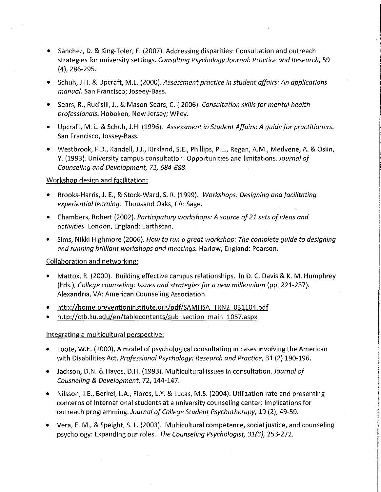- Sanchez, D. & King-Toler, E. (2007). Addressing disparities: Consultation and outreach strategies for university settings. *Consulting Psychology Journal: Practice and Research,* 59 (4), 286-295.
- Schuh, J.H. & Upcraft, M.L. (2000). *Assessment practice in student affairs: An applications manual.* San Francisco; Joseey-Bass.
- Sears, R., Rudisill, J., & Mason-Sears, C. ( 2006). *Consultation skills for mental health professionals.* Hoboken, New Jersey; Wiley.
- Upcraft, M. L. & Schuh, J.H. (1996). *Assessment in Student Affairs: A guide for practitioners.*  San Francisco, Jossey-Bass.
- Westbrook, F.D., Kandel!, J.J., Kirkland, S.E., Phillips, P.E., Regan, A.M., Medvene, A. & Oslin, Y. (1993). University campus consultation: Opportunities and limitations. *Journal of Counseling and Development, 71, 684-688.*

### Workshop design and facilitation:

- Brooks-Harris, J. E., & Stock-Ward, S. R. (1999). *Workshops: Designing and facilitating experiential learning.* Thousand Oaks, CA: Sage.
- Chambers, Robert (2002). *Participatory workshops: A source of 21 sets of ideas and activities.* London, England: Earthscan.
- Sims, Nikki Highmore (2006). *How to run a great workshop: The complete guide to designing and running brilliant workshops and meetings.* Harlow, England: Pearson.

### Collaboration and networking:

- Mattox, R. (2000). Building effective campus relationships. In D. C. Davis & K. M. Humphrey (Eds. ), *College counseling: Issues and strategies for a new millennium* (pp. 221-237). Alexandria, VA: American Counseling Association.
- http://home.preventioninstitute.org/pdf/SAMHSA TRN2 031104.pdf
- http://ctb.ku.edu/en/tablecontents/sub section main 1057.aspx

### Integrating a multicultural perspective:

- Foote, W.E. (2000). A model of psychological consultation in cases involving the American with Disabilities Act. *Professional Psychology: Research and Practice,* 31 (2) 190-196.
- Jackson, D.N. & Hayes, D.H. (1993). Multicultural issues in consultation. *Journal of Cousneling* & *Development,* 72, 144-147.
- Nilsson, J.E., Berkel, L.A., Flores, L.Y. & Lucas, M.S. (2004). Utilization rate and presenting concerns of International students at a university counseling center: Implications for outreach programming. *Journal of College Student Psychotherapy,* 19 (2), 49-59.
- Vera, E. M., & Speight, S. L. (2003). Multicultural competence, social justice, and counseling psychology: Expanding our roles. *The Counseling Psychologist, 31(3},* 253-272.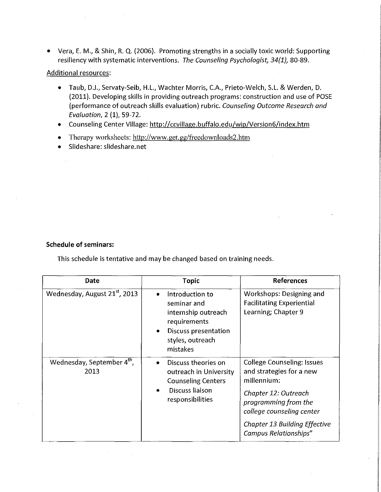• Vera, E. M., & Shin, R. Q. (2006). Promoting strengths in a socially toxic world: Supporting resiliency with systematic interventions. *The Counseling Psychologist, 34(1},* 80-89.

### Additional resources:

- Taub, D.J., Servaty-Seib, H.L., Wachter Morris, C.A., Prieto-Weich, S.L. & Werden, D. (2011). Developing skills in providing outreach programs: construction and use of POSE (performance of outreach skills evaluation) rubric. *Counseling Outcome Research and Evaluation,* 2 (1), 59-72.
- Counseling Center Village: http://ccvillage.buffalo.edu/wip/Version6/index.htm
- Therapy worksheets: http://www.get.gg/freedownloads2.htm
- Slideshare: slideshare.net

### **Schedule of seminars:**

This schedule is tentative and may be changed based on training needs.

| Date                                      | Topic                                                                                                                         | <b>References</b>                                                                                                                                                                                                                 |
|-------------------------------------------|-------------------------------------------------------------------------------------------------------------------------------|-----------------------------------------------------------------------------------------------------------------------------------------------------------------------------------------------------------------------------------|
| Wednesday, August 21 <sup>st</sup> , 2013 | Introduction to<br>seminar and<br>internship outreach<br>requirements<br>Discuss presentation<br>styles, outreach<br>mistakes | Workshops: Designing and<br><b>Facilitating Experiential</b><br>Learning; Chapter 9                                                                                                                                               |
| Wednesday, September 4th,<br>2013         | Discuss theories on<br>outreach in University<br><b>Counseling Centers</b><br>Discuss liaison<br>responsibilities             | <b>College Counseling: Issues</b><br>and strategies for a new<br>millennium:<br>Chapter 12: Outreach<br>programming from the<br>college counseling center<br><b>Chapter 13 Building Effective</b><br><b>Campus Relationships"</b> |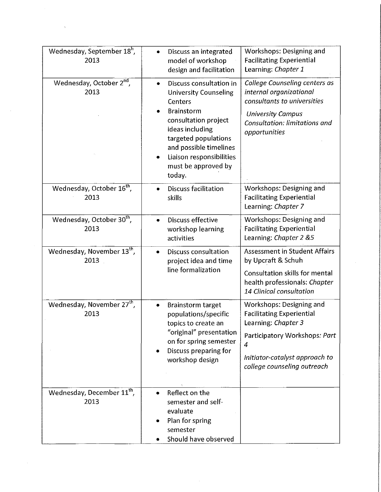| Wednesday, September 18 <sup>h</sup> ,<br>2013 | Discuss an integrated<br>$\bullet$<br>model of workshop<br>design and facilitation                                                                                                                                                                             | Workshops: Designing and<br><b>Facilitating Experiential</b><br>Learning: Chapter 1                                                                                                                     |
|------------------------------------------------|----------------------------------------------------------------------------------------------------------------------------------------------------------------------------------------------------------------------------------------------------------------|---------------------------------------------------------------------------------------------------------------------------------------------------------------------------------------------------------|
| Wednesday, October 2 <sup>nd</sup> ,<br>2013   | Discuss consultation in<br>$\bullet$<br><b>University Counseling</b><br>Centers<br><b>Brainstorm</b><br>consultation project<br>ideas including<br>targeted populations<br>and possible timelines<br>Liaison responsibilities<br>must be approved by<br>today. | College Counseling centers as<br>internal organizational<br>consultants to universities<br><b>University Campus</b><br>Consultation: limitations and<br>opportunities                                   |
| Wednesday, October 16 <sup>th</sup> ,<br>2013  | <b>Discuss facilitation</b><br>$\bullet$<br>skills                                                                                                                                                                                                             | Workshops: Designing and<br><b>Facilitating Experiential</b><br>Learning: Chapter 7                                                                                                                     |
| Wednesday, October 30 <sup>th</sup> ,<br>2013  | Discuss effective<br>workshop learning<br>activities                                                                                                                                                                                                           | Workshops: Designing and<br><b>Facilitating Experiential</b><br>Learning: Chapter 2 &5                                                                                                                  |
| Wednesday, November 13 <sup>th</sup> ,<br>2013 | Discuss consultation<br>۰<br>project idea and time<br>line formalization                                                                                                                                                                                       | <b>Assessment in Student Affairs</b><br>by Upcraft & Schuh<br>Consultation skills for mental<br>health professionals: Chapter<br>14 Clinical consultation                                               |
| Wednesday, November 27 <sup>th</sup> ,<br>2013 | <b>Brainstorm target</b><br>٠<br>populations/specific<br>topics to create an<br>"original" presentation<br>on for spring semester<br>Discuss preparing for<br>workshop design                                                                                  | Workshops: Designing and<br><b>Facilitating Experiential</b><br>Learning: Chapter 3<br>Participatory Workshops: Part<br>$\overline{4}$<br>Initiator-catalyst approach to<br>college counseling outreach |
| Wednesday, December 11 <sup>th</sup> ,<br>2013 | Reflect on the<br>$\bullet$<br>semester and self-<br>evaluate<br>Plan for spring<br>semester<br>Should have observed                                                                                                                                           |                                                                                                                                                                                                         |

 $\mathcal{A}^{\mathcal{A}}$ 

 $\label{eq:1} \mathcal{N} = \mathcal{N} \left( \mathcal{N} \right) \left( \mathcal{N} \right)$ 

 $\sim$   $\sim$ 

 $\mathbb{R}^3$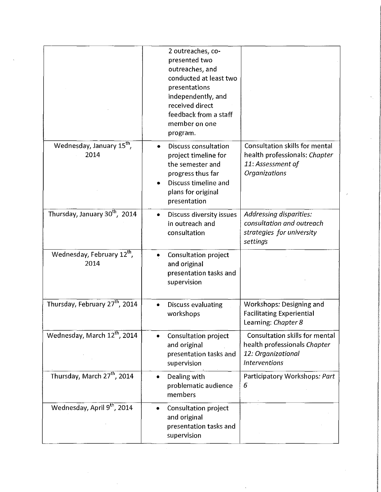|                                                | 2 outreaches, co-<br>presented two<br>outreaches, and<br>conducted at least two<br>presentations<br>independently, and<br>received direct<br>feedback from a staff<br>member on one<br>program. |                                                                                                                     |
|------------------------------------------------|-------------------------------------------------------------------------------------------------------------------------------------------------------------------------------------------------|---------------------------------------------------------------------------------------------------------------------|
| Wednesday, January 15 <sup>th</sup> ,<br>2014  | <b>Discuss consultation</b><br>project timeline for<br>the semester and<br>progress thus far<br>Discuss timeline and<br>plans for original<br>presentation                                      | <b>Consultation skills for mental</b><br>health professionals: Chapter<br>11: Assessment of<br><b>Organizations</b> |
| Thursday, January 30 <sup>th</sup> , 2014      | Discuss diversity issues<br>٠<br>in outreach and<br>consultation                                                                                                                                | <b>Addressing disparities:</b><br>consultation and outreach<br>strategies for university<br>settings                |
| Wednesday, February 12 <sup>th</sup> ,<br>2014 | Consultation project<br>and original<br>presentation tasks and<br>supervision                                                                                                                   |                                                                                                                     |
| Thursday, February 27 <sup>th</sup> , 2014     | <b>Discuss evaluating</b><br>workshops                                                                                                                                                          | Workshops: Designing and<br><b>Facilitating Experiential</b><br>Learning: Chapter 8                                 |
| Wednesday, March 12 <sup>th</sup> , 2014       | Consultation project<br>and original<br>presentation tasks and<br>supervision                                                                                                                   | Consultation skills for mental<br>health professionals Chapter<br>12. Organizational<br><b>Interventions</b>        |
| Thursday, March 27 <sup>th</sup> , 2014        | Dealing with<br>problematic audience<br>members                                                                                                                                                 | Participatory Workshops: Part<br>6                                                                                  |
| Wednesday, April 9th, 2014                     | Consultation project<br>and original<br>presentation tasks and<br>supervision                                                                                                                   |                                                                                                                     |

 $\label{eq:2.1} \frac{1}{2}\sum_{i=1}^n\frac{1}{2}\sum_{j=1}^n\frac{1}{2}\sum_{j=1}^n\frac{1}{2}\sum_{j=1}^n\frac{1}{2}\sum_{j=1}^n\frac{1}{2}\sum_{j=1}^n\frac{1}{2}\sum_{j=1}^n\frac{1}{2}\sum_{j=1}^n\frac{1}{2}\sum_{j=1}^n\frac{1}{2}\sum_{j=1}^n\frac{1}{2}\sum_{j=1}^n\frac{1}{2}\sum_{j=1}^n\frac{1}{2}\sum_{j=1}^n\frac{1}{2}\sum_{j=1}^n\$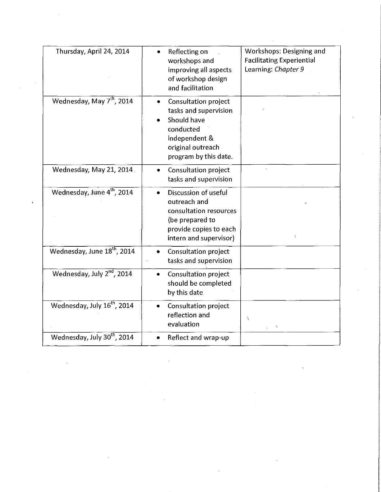| Thursday, April 24, 2014                | Reflecting on<br>workshops and<br>improving all aspects<br>of workshop design<br>and facilitation                                               | <b>Workshops: Designing and</b><br><b>Facilitating Experiential</b><br>Learning: Chapter 9 |
|-----------------------------------------|-------------------------------------------------------------------------------------------------------------------------------------------------|--------------------------------------------------------------------------------------------|
| Wednesday, May 7 <sup>th</sup> , 2014   | <b>Consultation project</b><br>tasks and supervision<br>Should have<br>conducted<br>independent &<br>original outreach<br>program by this date. |                                                                                            |
| Wednesday, May 21, 2014                 | Consultation project<br>tasks and supervision                                                                                                   |                                                                                            |
| Wednesday, June 4 <sup>th</sup> , 2014  | Discussion of useful<br>outreach and<br>consultation resources<br>(be prepared to<br>provide copies to each<br>intern and supervisor)           |                                                                                            |
| Wednesday, June 18 <sup>th</sup> , 2014 | Consultation project<br>tasks and supervision                                                                                                   |                                                                                            |
| Wednesday, July 2nd, 2014               | <b>Consultation project</b><br>should be completed<br>by this date                                                                              |                                                                                            |
| Wednesday, July 16 <sup>th</sup> , 2014 | Consultation project<br>reflection and<br>evaluation                                                                                            | Y<br>$\check{f}$                                                                           |
| Wednesday, July 30th, 2014              | Reflect and wrap-up                                                                                                                             |                                                                                            |

 $\label{eq:2.1} \frac{1}{\sqrt{2}}\int_{\mathbb{R}^3}\frac{1}{\sqrt{2}}\left(\frac{1}{\sqrt{2}}\right)^2\frac{1}{\sqrt{2}}\left(\frac{1}{\sqrt{2}}\right)^2\frac{1}{\sqrt{2}}\left(\frac{1}{\sqrt{2}}\right)^2.$ 

 $\sim 200$ 

 $\label{eq:2.1} \frac{1}{\sqrt{2}}\int_{\mathbb{R}^3}\frac{1}{\sqrt{2}}\left(\frac{1}{\sqrt{2}}\right)^2\frac{1}{\sqrt{2}}\left(\frac{1}{\sqrt{2}}\right)^2\frac{1}{\sqrt{2}}\left(\frac{1}{\sqrt{2}}\right)^2.$ 

 $\sim$ 

 $\mathcal{L}^{\text{max}}_{\text{max}}$  and  $\mathcal{L}^{\text{max}}_{\text{max}}$ 

 $\sim$   $\sim$ 

 $\hat{\mathcal{L}}$ 

 $\sim$  6  $^{\circ}$ 

 $\mathcal{L}_{\mathcal{A}}$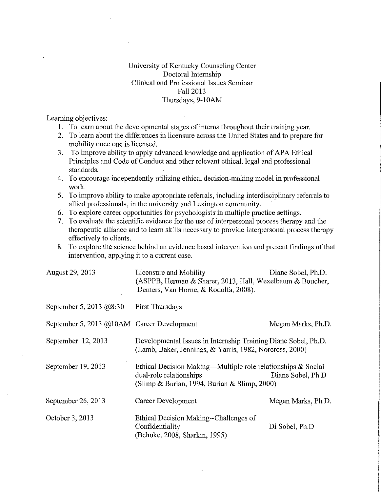## University of Kentucky Counseling Center Doctoral Internship Clinical and Professional Issues Seminar Fall2013 Thursdays, 9-10AM

Learning objectives:

- I. To learn about the developmental stages of interns throughout their training year.
- 2. To learn about the differences in licensure across the United States and to prepare for mobility once one is licensed.
- 3. To improve ability to apply advanced knowledge and application of APA Ethical Principles and Code of Conduct and other relevant ethical, legal and professional standards.
- 4. To encourage independently utilizing ethical decision-making model in professional work.
- 5. To improve ability to make appropriate referrals, including interdisciplinary referrals to allied professionals, in the university and Lexington community.
- 6. To explore career opportunities for psychologists in multiple practice settings.
- 7. To evaluate the scientific evidence for the use of interpersonal process therapy and the therapeutic alliance and to learn skills necessary to provide interpersonal process therapy effectively to clients.
- 8. To explore the science behind an evidence based intervention and present findings of that intervention, applying it to a current case.

| August 29, 2013                            | Licensure and Mobility<br>(ASPPB, Herman & Sharer, 2013, Hall, Wexelbaum & Boucher,<br>Demers, Van Horne, & Rodolfa, 2008).                                  | Diane Sobel, Ph.D. |
|--------------------------------------------|--------------------------------------------------------------------------------------------------------------------------------------------------------------|--------------------|
| September 5, 2013 @8:30                    | <b>First Thursdays</b>                                                                                                                                       |                    |
| September 5, 2013 @10AM Career Development |                                                                                                                                                              | Megan Marks, Ph.D. |
| September 12, 2013                         | Developmental Issues in Internship Training Diane Sobel, Ph.D.<br>(Lamb, Baker, Jennings, & Yarris, 1982, Norcross, 2000)                                    |                    |
| September 19, 2013                         | Ethical Decision Making—Multiple role relationships & Social<br>dual-role relationships<br>Diane Sobel, Ph.D<br>(Slimp & Burian, 1994, Burian & Slimp, 2000) |                    |
| September 26, 2013                         | Career Development                                                                                                                                           | Megan Marks, Ph.D. |
| October 3, 2013                            | Ethical Decision Making--Challenges of<br>Confidentiality<br>(Behnke, 2008, Sharkin, 1995)                                                                   | Di Sobel, Ph.D.    |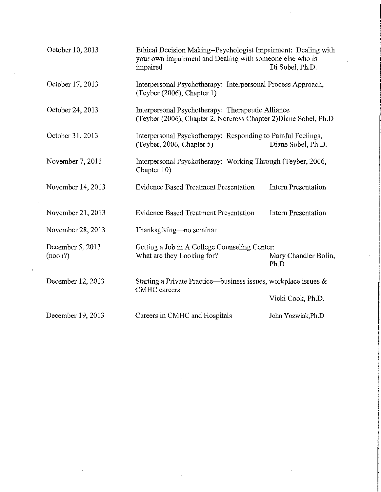|         | October 10, 2013  | Ethical Decision Making--Psychologist Impairment: Dealing with<br>your own impairment and Dealing with someone else who is<br>impaired | Di Sobel, Ph.D.              |
|---------|-------------------|----------------------------------------------------------------------------------------------------------------------------------------|------------------------------|
|         | October 17, 2013  | Interpersonal Psychotherapy: Interpersonal Process Approach,<br>(Teyber (2006), Chapter 1)                                             |                              |
|         | October 24, 2013  | Interpersonal Psychotherapy: Therapeutic Alliance<br>(Teyber (2006), Chapter 2, Norcross Chapter 2) Diane Sobel, Ph.D                  |                              |
|         | October 31, 2013  | Interpersonal Psychotherapy: Responding to Painful Feelings,<br>(Teyber, 2006, Chapter 5)                                              | Diane Sobel, Ph.D.           |
|         | November 7, 2013  | Interpersonal Psychotherapy: Working Through (Teyber, 2006,<br>Chapter 10)                                                             |                              |
|         | November 14, 2013 | <b>Evidence Based Treatment Presentation</b>                                                                                           | <b>Intern Presentation</b>   |
|         | November 21, 2013 | <b>Evidence Based Treatment Presentation</b>                                                                                           | <b>Intern Presentation</b>   |
|         | November 28, 2013 | Thanksgiving—no seminar                                                                                                                |                              |
| (noon?) | December 5, 2013  | Getting a Job in A College Counseling Center:<br>What are they Looking for?                                                            | Mary Chandler Bolin,<br>Ph.D |
|         | December 12, 2013 | Starting a Private Practice—business issues, workplace issues &<br><b>CMHC</b> careers                                                 |                              |
|         |                   |                                                                                                                                        | Vicki Cook, Ph.D.            |
|         | December 19, 2013 | Careers in CMHC and Hospitals                                                                                                          | John Yozwiak, Ph.D           |

 $\label{eq:2.1} \begin{split} \mathbf{f}(\mathbf{r}) = \mathbf{f}(\mathbf{r}) + \mathbf{f}(\mathbf{r}) = \mathbf{f}(\mathbf{r}) + \mathbf{f}(\mathbf{r}) + \mathbf{f}(\mathbf{r}) = \mathbf{f}(\mathbf{r}) + \mathbf{f}(\mathbf{r}) + \mathbf{f}(\mathbf{r}) = \mathbf{f}(\mathbf{r}) + \mathbf{f}(\mathbf{r}) + \mathbf{f}(\mathbf{r}) = \mathbf{f}(\mathbf{r}) + \mathbf{f}(\mathbf{r}) + \mathbf{f}(\mathbf{r}) = \mathbf{f}(\mathbf{r$ 

 $\label{eq:2} \frac{1}{\sqrt{2}}\int_{0}^{\infty}\frac{1}{\sqrt{2\pi}}\left(\frac{1}{\sqrt{2\pi}}\right)^{2}d\mu_{\rm{eff}}\,d\mu_{\rm{eff}}$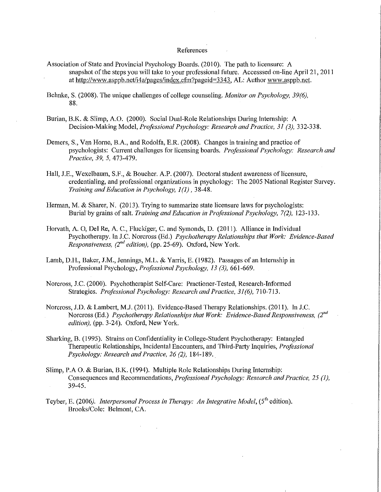#### References

- Association of State and Provincial Psychology Boards. (2010). The path to licensure: A snapshot of the steps you will take to your professional future. Accesssed on-line Apri121, 2011 at http://www.asppb.net/i4a/pages/index.cfm?pageid=3343, AL: Author www.asppb.net.
- Behnke, S. (2008). The unique challenges of college counseling. *Monitor on Psychology, 39(6),*  88.
- Burian, B.K. & Slimp, A.O. (2000). Social Dual-Role Relationships During lntemship: A Decision-Making Model, *Professional Psychology: Research and Practice, 31 (3),* 332-338.
- Demers, S., Van Horne, B.A., and Rodolfa, E.R. (2008). Changes in training and practice of psychologists: Current challenges for licensing boards. *Professional Psychology: Research and Practice, 39, 5,* 473-479.
- Hall, J.E., Wexelbaum, S.F., & Boucher. A.P. (2007). Doctoral student awareness of licensure, credentialing, and professional organizations in psychology: The 2005 National Register Survey. *Training and Education in Psychology, I* (I), 38-48.
- Herman, M. & Sharer, N. (2013). Trying to summarize state licensure laws for psychologists: Burial by grains of salt. *Training and Education in Professional hychology, 7(2),* 123-133.
- Horvath, A. 0, Del Re, A. C., Fluckiger, C. and Symonds, D. (20 II). Alliance in Individual Psychotherapy. In J.C. Norcross (Ed.) *Psychotherapy Relationships that Work: Evidence-Based Responsiveness, (2<sup>nd</sup> edition), (pp. 25-69).* Oxford, New York.
- Lamb, D.H., Baker, J.M., Jennings, M.L. & Yarris, E. (1982). Passages of an Internship in Professional Psychology, *Professional Psychology, 13 (3),* 66!-669.
- Norcross, J.C. (2000). Psychotherapist Self-Care: Practioner-Tested, Research-Informed Strategies. *Professional Psychology: Research and Practice, 31 (6),* 710-713.
- Norcross, J.D. & Lambert, M.J. (2011). Evidence-Based Therapy Relationships. (2011). In J.C. Norcross (Ed.) *Psychotherapy Relationships that Work: Evidence-Based Responsiveness, (2"d edition),* (pp. 3-24). Oxford, New York.
- Sharking, B. (1995). Strains on Confidentiality in College-Student Psychotherapy: Entangled Therapeutic Relationships, Incidental Encounters, and Third-Party Inquiries, *Professional Psychology: Research and Practice, 26 (2),* 184-189.
- Slimp, P.A 0. & Burian, B.K. (1994). Multiple Role Relationships During Internship: Consequences and Recommendations, *Professional Psychology: Research and Practice, 25 (1),*  39-45.
- Teyber, E. (2006). *Interpersonal Process in Therapy: An Integrative Model*, (5<sup>th</sup> edition). Brooks/Cole: Belmont, CA.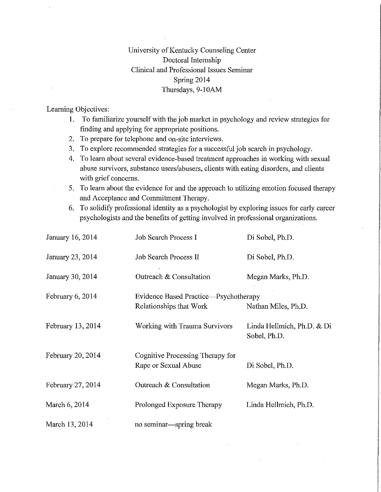# University of Kentucky Counseling Center Doctoral Internship Clinical and Professional Issues Seminar Spring 2014 Thursdays, 9-10AM

### Learning Objectives:

- 1. To familiarize yourself with the job market in psychology and review strategies for finding and applying for appropriate positions.
- 2. To prepare for telephone and on-site interviews.
- 3. To explore recommended strategies for a successful job search in psychology.
- 4. To leam about several evidence-based treatment approaches in working with sexual abuse survivors, substance users/abusers, clients with eating disorders, and clients with grief concerns.
- 5. To leam about the evidence for and the approach to utilizing emotion focused therapy and Acceptance and Commitment Therapy.
- 6. To solidify professional identity as a psychologist by exploring issues for early career psychologists and the benefits of getting involved in professional organizations.

| January 16, 2014  | Job Search Process I                                             | Di Sobel, Ph.D.                            |
|-------------------|------------------------------------------------------------------|--------------------------------------------|
| January 23, 2014  | Job Search Process II                                            | Di Sobel, Ph.D.                            |
| January 30, 2014  | Outreach & Consultation                                          | Megan Marks, Ph.D.                         |
| February 6, 2014  | Evidence Based Practice—Psychotherapy<br>Relationships that Work | Nathan Miles, Ph.D.                        |
| February 13, 2014 | Working with Trauma Survivors                                    | Linda Hellmich, Ph.D. & Di<br>Sobel, Ph.D. |
| February 20, 2014 | Cognitive Processing Therapy for<br>Rape or Sexual Abuse         | Di Sobel, Ph.D.                            |
| February 27, 2014 | Outreach & Consultation                                          | Megan Marks, Ph.D.                         |
| March 6, 2014     | Prolonged Exposure Therapy                                       | Linda Hellmich, Ph.D.                      |
| March 13, 2014    | no seminar—spring break                                          |                                            |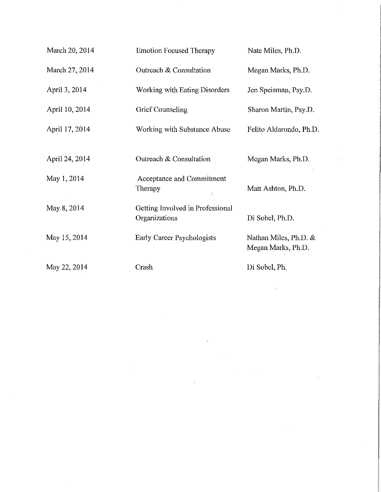| March 20, 2014 | <b>Emotion Focused Therapy</b>                    | Nate Miles, Ph.D.                           |
|----------------|---------------------------------------------------|---------------------------------------------|
| March 27, 2014 | Outreach & Consultation                           | Megan Marks, Ph.D.                          |
| April 3, 2014  | Working with Eating Disorders                     | Jen Speisman, Psy.D.                        |
| April 10, 2014 | Grief Counseling                                  | Sharon Martin, Psy.D.                       |
| April 17, 2014 | Working with Substance Abuse                      | Felito Aldarondo, Ph.D.                     |
| April 24, 2014 | Outreach & Consultation                           | Megan Marks, Ph.D.                          |
| May 1, 2014    | Acceptance and Commitment<br>Therapy<br>Ź         | Matt Ashton, Ph.D.                          |
| May 8, 2014    | Getting Involved in Professional<br>Organizations | Di Sobel, Ph.D.                             |
| May 15, 2014   | Early Career Psychologists                        | Nathan Miles, Ph.D. &<br>Megan Marks, Ph.D. |
| May 22, 2014   | Crash                                             | Di Sobel, Ph.                               |

 $\mathcal{L}(\mathcal{L})$  and  $\mathcal{L}(\mathcal{L})$  and  $\mathcal{L}(\mathcal{L})$  and  $\mathcal{L}(\mathcal{L})$  and  $\mathcal{L}(\mathcal{L})$ 

 $\mathcal{A}^{\text{max}}_{\text{max}}$ 

 $\label{eq:2.1} \frac{1}{\sqrt{2}}\int_{\mathbb{R}^3}\frac{1}{\sqrt{2}}\left(\frac{1}{\sqrt{2}}\right)^2\frac{1}{\sqrt{2}}\left(\frac{1}{\sqrt{2}}\right)^2\frac{1}{\sqrt{2}}\left(\frac{1}{\sqrt{2}}\right)^2\frac{1}{\sqrt{2}}\left(\frac{1}{\sqrt{2}}\right)^2.$ 

 $\sim$   $\sim$ 

 $\mathcal{L}(\mathcal{L}^{\mathcal{L}})$  and  $\mathcal{L}^{\mathcal{L}}$  are the set of the set of the set of  $\mathcal{L}^{\mathcal{L}}$ 

 $\hat{\mathcal{A}}$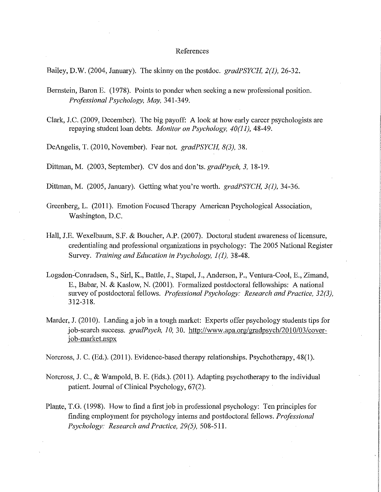#### References

Bailey, D.W. (2004, January). The skinny on the postdoc. *gradPSYCH, 2(1),* 26-32.

- Bernstein, Baron E. (1978). Points to ponder when seeking a new professional position. *Professional Psychology, May,* 341-349.
- Clark, J.C. (2009, December). The big payoff: A look at how early career psychologists are repaying student loan debts. *Monitor on Psychology, 40(11),* 48-49.

DeAngelis, T. (2010, November). Fear not. *gradPSYCH, 8(3),* 38.

Dittman, M. (2003, September). CV dos and don'ts. *gradPsych, 3,* 18-19.

Dittman, M. (2005, January). Getting what you're worth. *gradPSYCH, 3(1),* 34-36.

- Greenberg, L. (2011). Emotion Focused Therapy American Psychological Association, Washington, D.C.
- Hall, J.E. Wexelbaum, S.F. & Boucher, A.P. (2007). Doctoral student awareness of licensure, credentialing and professional organizations in psychology: The 2005 National Register Survey. *Training and Education in Psychology, 1(1)*, 38-48.
- Logsdon-Conradsen, S., Sirl, K., Battle, J., Stapel, J., Anderson, P., Ventura-Cool, E., Zimand, E., Babar, N. & Kaslow, N. (2001). Formalized postdoctoral fellowships: A national survey of postdoctoral fellows. *Professional Psychology: Research and Practice, 32(3),*  312-318.
- Marder, J. (2010). Landing a job in a tough market: Experts offer psychology students tips for job-search success. *gradPsych, 10,* 30. http://www.apa.org/gradpsych/2010/03/coverjob-market.aspx

Norcross, J. C. (Ed.). (2011). Evidence-based therapy relationships. Psychotherapy, 48(1).

- Norcross, J. C., & Wampold, B. E. (Eds.). (2011). Adapting psychotherapy to the individual patient. Journal of Clinical Psychology, 67(2).
- Plante, T.G. (1998). How to find a first job in professional psychology: Ten principles for finding employment for psychology intems and postdoctoral fellows. *Professional Psychology: Research and Practice, 29(5),* 508-511.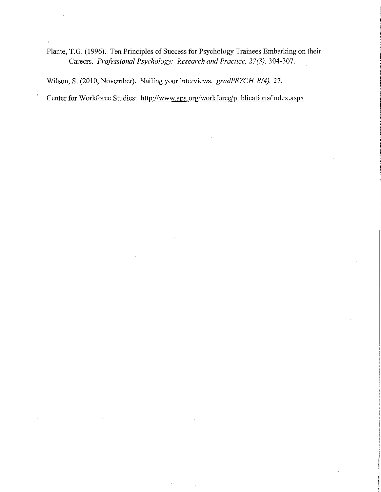Plante, T.G. (1996). Ten Principles of Success for Psychology Trainees Embarking on their Careers. *Professional Psychology: Research and Practice, 27(3),* 304-307.

Wilson, S. (2010, November). Nailing your interviews. *gradPSYCH, 8(4),* 27.

 $\mathbf{r}$ 

Center for Workforce Studies: http://www.apa.org/workforce/publications/index.aspx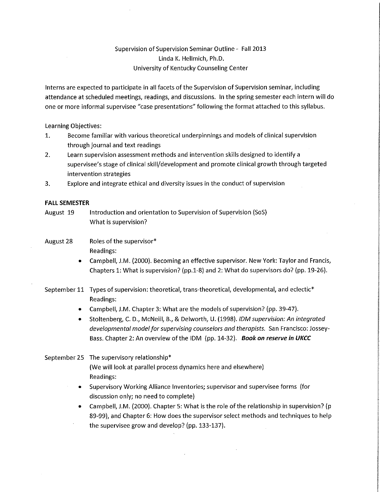## Supervision of Supervision Seminar Outline- Fall 2013 Linda K. Hellmich, Ph.D. University of Kentucky Counseling Center

Interns are expected to participate in all facets of the Supervision of Supervision seminar, including attendance at scheduled meetings, readings, and discussions. In the spring semester each intern will do one or more informal supervisee "case presentations" following the format attached to this syllabus.

Learning Objectives:

- 1. Become familiar with various theoretical underpinnings and models of clinical supervision through journal and text readings
- 2. Learn supervision assessment methods and intervention skills designed to identify a supervisee's stage of clinical skill/development and promote clinical growth through targeted intervention strategies
- 3. Explore and integrate ethical and diversity issues in the conduct of supervision

### **FALL SEMESTER**

- August 19 Introduction and orientation to Supervision of Supervision (SoS) What is supervision?
- August 28 Roles of the supervisor\* Readings:
	- Campbell, J.M. (2000). Becoming an effective supervisor. New York: Taylor and Francis, Chapters 1: What is supervision? (pp.1-8) and 2: What do supervisors do? (pp. 19-26).
- September 11 Types of supervision: theoretical, trans-theoretical, developmental, and eclectic\* Readings:
	- Campbell, J.M. Chapter 3: What are the models of supervision? (pp. 39-47).
	- Stoltenberg, C. D., McNeill, B., & Delworth, U. (1998). *IDM supervision: An integrated developmental model for supervising counselors and therapists.* San Francisco: Jossey-Bass. Chapter 2: An overview of the IDM (pp. 14-32). **Book on** *reserve* **in UKCC**

September 25 The supervisory relationship\*

(We will look at parallel process dynamics here and elsewhere) Readings:

- Supervisory Working Alliance Inventories; supervisor and supervisee forms (for discussion only; no need to complete)
- Campbell, J.M. (2000). Chapter 5: What is the role of the relationship in supervision? (p 89-99), and Chapter 6: How does the supervisor select methods and techniques to help the supervisee grow and develop? (pp. 133-137).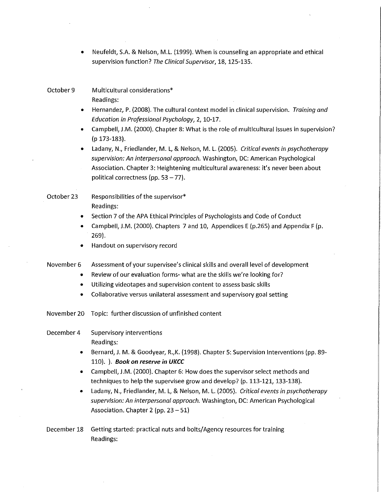• Neufeldt, S.A. & Nelson, M.L. (1999). When is counseling an appropriate and ethical supervision function? *The Clinical Supervisor,* 18, 125-135.

### October 9 Multicultural considerations\* Readings:

- Hernandez, P. (2008). The cultural context model in clinical supervision. *Training and Education in Professional Psychology,* 2, 10-17.
- Campbell, J.M. (2000). Chapter 8: What is the role of multicultural issues in supervision? (p 173-183).
- Ladany, N., Friedlander, M. L, & Nelson, M. L. (2005). *Critical events in psychotherapy supervision: An interpersonal approach.* Washington, DC: American Psychological Association. Chapter 3: Heightening multicultural awareness: it's never been about political correctness (pp.  $53 - 77$ ).

## October 23 Responsibilities of the supervisor\* Readings:

- Section 7 of the APA Ethical Principles of Psychologists and Code of Conduct
- Campbell, J.M. (2000). Chapters 7 and 10, Appendices E (p.265) and Appendix F (p. 269).
- Handout on supervisory record
- November 6 Assessment of your supervisee's clinical skills and overall level of development
	- Review of our evaluation forms- what are the skills we're looking for?
	- Utilizing videotapes and supervision content to assess basic skills
	- Collaborative versus unilateral assessment and supervisory goal setting
- November 20 Topic: further discussion of unfinished content

### December 4 Supervisory interventions Readings:

- Bernard, **J.** M. & Goodyear, R.,K. (1998). Chapter 5: Supervision Interventions (pp. 89- 110). ). **Book on reserve in UKCC**
- Campbell, J.M. (2000). Chapter 6: How does the supervisor select methods and techniques to help the supervisee grow and develop? (p. 113-121, 133-138).
- Ladany, **N.,** Friedlander, M. L, & Nelson, M. L. (2005). *Critical events in psychotherapy supervision: An interpersonal approach.* Washington, DC: American Psychological Association. Chapter 2 (pp.  $23-51$ )
- December 18 Getting started: practical nuts and bolts/Agency resources for training Readings: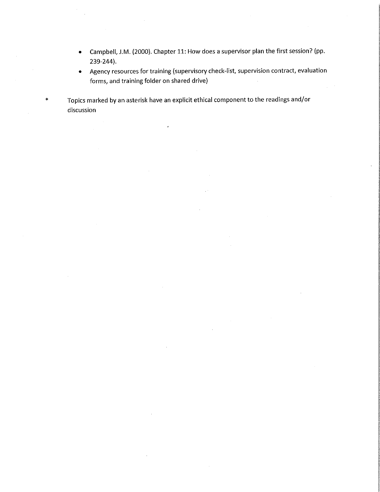- Campbell, J.M. (2000). Chapter 11: How does a supervisor plan the first session? (pp. 239-244).
- Agency resources for training (supervisory check-list, supervision contract, evaluation forms, and training folder on shared drive)

Topics marked by an asterisk have an explicit ethical component to the readings and/or discussion

\*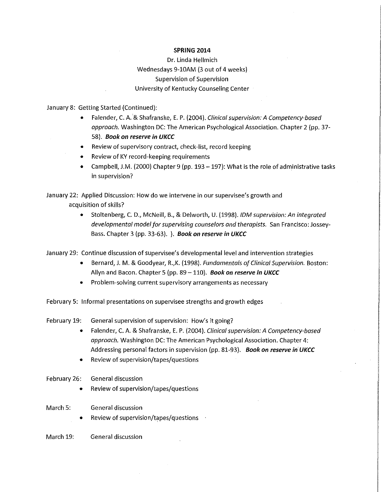#### **SPRING 2014**

Dr. Linda Hellmich Wednesdays 9-10AM (3 out of 4 weeks) Supervision of Supervision University of Kentucky Counseling Center

January 8: Getting Started (Continued):

- Fa lender, C. A. & Shafranske, E. P. (2004). *Clinical supervision: A Competency-based approach.* Washington DC: The American Psychological Association. Chapter 2 (pp. 37- 58). **Book on reserve in UKCC**
- Review of supervisory contract, check-list, record keeping
- Review of KY record-keeping requirements
- Campbell, J.M. (2000) Chapter 9 (pp. 193 -197): What is the role of administrative tasks in supervision?

January 22: Applied Discussion: How do we intervene **in** our supervisee's growth and acquisition of skills?

> • Stoltenberg, C. D., McNeill, B., & Delworth, U. (1998). */OM supervision: An integrated developmental model for supervising counselors and therapists.* San Francisco: Jossey-Bass. Chapter 3 (pp. 33-63). ). **Book on reserve in UKCC**

January 29: Continue discussion of supervisee's developmental level and intervention strategies

- Bernard, J. M. & Goodyear, R.,K. (1998). *Fundamentals of Clinical Supervision.* Boston: Allyn and Bacon. Chapter 5 (pp. 89- 110). **Book on reserve in UKCC**
- Problem-solving current supervisory arrangements as necessary

February 5: Informal presentations on supervisee strengths and growth edges

February 19: General supervision of supervision: How's it going?

- Fa lender, C. A. & Shafranske, E. P. (2004). *Clinical supervision: A Competency-based approach.* Washington DC: The American Psychological Association. Chapter 4: Addressing personal factors in supervision (pp. 81-93). **Book on reserve in UKCC**
- Review of supervision/tapes/questions

### February 26: General discussion

- Review of supervision/tapes/questions
- March 5: General discussion
	- Review of supervision/tapes/questions
- March 19: General discussion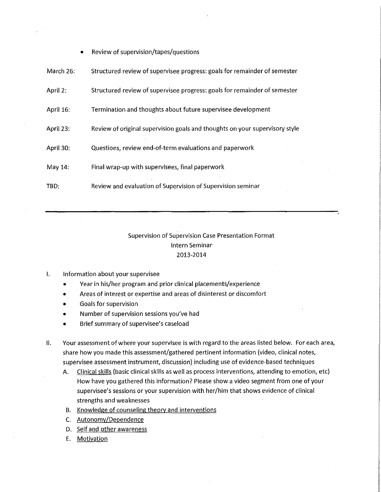• Review of supervision/tapes/questions

| March 26: | Structured review of supervisee progress: goals for remainder of semester   |
|-----------|-----------------------------------------------------------------------------|
| April 2:  | Structured review of supervisee progress: goals for remainder of semester   |
| April 16: | Termination and thoughts about future supervisee development                |
| April 23: | Review of original supervision goals and thoughts on your supervisory style |
| April 30: | Questions, review end-of-term evaluations and paperwork                     |
| May 14:   | Final wrap-up with supervisees, final paperwork                             |
| TBD:      | Review and evaluation of Supervision of Supervision seminar                 |

## Supervision of Supervision Case Presentation Format Intern Seminar· 2013-2014

### I. Information about your supervisee

- Year in his/her program and prior clinical placements/experience
- Areas of interest or expertise and areas of disinterest or discomfort
- Goals for supervision
- Number of supervision sessions you've had
- Brief summary of supervisee's caseload
- II. Your assessment of where your supervisee is with regard to the areas listed below. For each area, share how you made this assessment/gathered pertinent information (video, clinical notes, supervisee assessment instrument, discussion) including use of evidence-based techniques
	- A. Clinical skills (basic clinical skills as well as process interventions, attending to emotion, etc) How have you gathered this information? Please show a video segment from one of your supervisee's sessions or your supervision with her/him that shows evidence of clinical strengths and weaknesses
	- B. Knowledge of counseling theory and interventions
	- C. Autonomy/Dependence
	- D. Self and other awareness
	- E. Motivation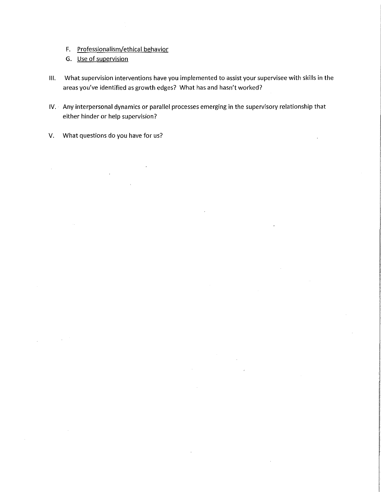- F. Professionalism/ethical behavior
- G. Use of supervision
- Ill. What supervision interventions have you implemented to assist your supervisee with skills in the areas you've identified as growth edges? What has and hasn't worked?
- IV. Any interpersonal dynamics or parallel processes emerging in the supervisory relationship that either hinder or help supervision?
- V. What questions do you have for us?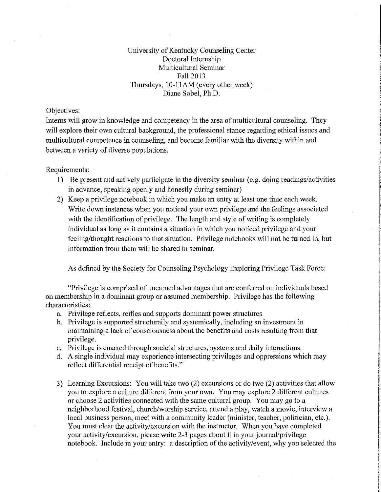University of Kentucky Counseling Center Doctoral Internship Multicultural Seminar Fall2013 Thursdays, 10-llAM (every other week) Diane Sobel, Ph.D.

### Objectives:

Interns will grow in knowledge and competency in the area of multicultural counseling. They will explore their own cultural background, the professional stance regarding ethical issues and multicultural competence in counseling, and become familiar with the diversity within and between a variety of diverse populations.

Requirements:

- 1) Be present and actively participate in the diversity seminar (e.g. doing readings/activities in advance, speaking openly and honestly during seminar)
- 2) Keep a privilege notebook in which you make an entry at least one time each week. Write down instances when you noticed your own privilege and the feelings associated with the identification of privilege. The length and style of writing is completely individual as long as it contains a situation in which you noticed privilege and your feeling/thought reactions to that situation. Privilege notebooks will not be turned in, but information from them will be shared in seminar.

As defined by the Society for Counseling Psychology Exploring Privilege Task Force:

"Privilege is comprised of unearned advantages that are conferred on individuals based on membership in a dominant group or assumed membership. Privilege has the following characteristics:

- a. Privilege reflects, reifies and supports dominant power structures
- b. Privilege is supported structurally and systemically, including an investment in maintaining a lack of consciousness about the benefits and costs resulting from that privilege.
- c. Privilege is enacted through societal structures, systems and daily interactions.
- d. A single individual may experience intersecting privileges and oppressions which may reflect differential receipt of benefits."
- 3) Learning Excursions: You will take two (2) excursions or do two (2) activities that allow you to explore a culture different from your own. You may explore 2 different cultures or choose 2 activities connected with the same cultural group. You may go to a neighborhood festival, church/worship service, attend a play, watch a movie, interview a local business person, meet with a community leader (minister, teacher, politician, etc.). You must clear the activity/excursion with the instructor. When you have completed your activity/excursion, please write 2-3 pages about it in your journal/privilege notebook. Include in your entry: a description of the activity/event, why you selected the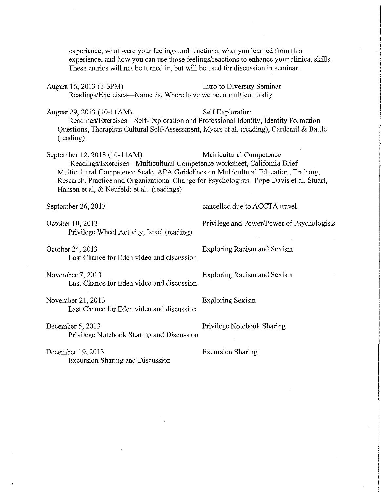experience, what were your feelings and reactions, what you leamed from this experience, and how you can use those feelings/reactions to enhance your clinical skills. These entries will not be turned in, but will be used for discussion in seminar.

August 16, 2013 (1-3PM) Intro to Diversity Seminar Readings/Exercises—Name ?s, Where have we been multiculturally

August 29, 2013 (10-11AM) Self Exploration Readings/Exercises-Self-Exploration and Professional Identity, Identity Formation Questions, Therapists Cultural Self-Assessment, Myers et al. (reading), Cardemil & Battle (reading)

September 12, 2013 (10-11AM) Multicultural Competence Readings/Exercises-- Multicultural Competence worksheet, California Brief Multicultural Competence Scale, AP A Guidelines on Multicultural Education, Training, Research, Practice and Organizational Change for Psychologists. Pope-Davis et al, Stuart, Hansen et al,  $&$  Neufeldt et al. (readings)

October 10,2013 Privilege and Power/Power of Psychologists Privilege Wheel Activity, Israel (reading)

October 24,2013 Exploring Racism and Sexism Last Chance for Eden video and discussion

November 7, 2013 Exploring Racism and Sexism Last Chance for Eden video and discussion

November 21,2013 Exploring Sexism Last Chance for Eden video and discussion

December 5, 2013 Privilege Notebook Sharing Privilege Notebook Sharing and Discussion

December 19,2013 Excursion Sharing Excursion Sharing and Discussion

September 26, 2013 cancelled due to ACCTA travel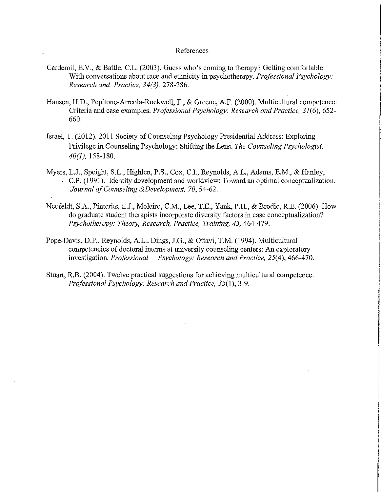### References

- Cardemil, E.V., & Battle, C.L. (2003). Guess who's coming to therapy? Getting comfortable With conversations about race and ethnicity in psychotherapy. *Professional Psychology: Research and Practice, 34(3),* 278-286.
- Hansen, H.D., Pepitone-Arreola-Rockwell, F., & Greene, A.F. (2000). Multicultural competence: Criteria and case examples. *Professional Psychology: Research and Practice, 31(6),* 652- 660.
- Israel, T. (2012). 2011 Society of Counseling Psychology Presidential Address: Exploring Privilege in Counseling Psychology: Shifting the Lens. *The Counseling Psychologist, 40(1),* 158-180.
- Myers, L.J., Speight, S.L., Highlen, P.S., Cox, C.I., Reynolds, A.L., Adams, E.M., & Hanley, C.P. (1991). Identity development and worldview: Toward an optimal conceptualization. *Journal of Counseling &Development, 70,* 54-62.
- Neufeldt, S.A., Pinterits, E.J., Moleiro, C.M., Lee, T.E., Yank, P.H., & Brodie, R.E. (2006). How do graduate student therapists incorporate diversity factors in case conceptualization? *Psychotherapy: Theory, Research, Practice, Training, 43,* 464-479.
- Pope-Davis, D.P., Reynolds, A.L., Dings, J.G., & Ottavi, T.M. (1994). Multicultural competencies of doctoral interns at university counseling centers: An exploratory investigation. *Professional Psychology: Research and Practice, 25(4), 466-470.*
- Stuart, R.B. (2004). Twelve practical suggestions for achieving multicultural competence. *Professional Psychology: Research and Practice, 35(1),* 3-9.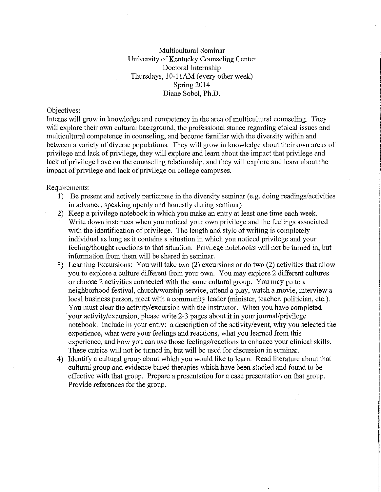Multicultural Seminar University of Kentucky Counseling Center Doctoral Internship Thursdays, 10-11AM (every other week) Spring 2014 Diane Sobel, Ph.D.

### Objectives:

Interns will grow in knowledge and competency in the area of multicultural counseling. They will explore their own cultural background, the professional stance regarding ethical issues and multicultural competence in counseling, and become familiar with the diversity within and between a variety of diverse populations. They will grow in knowledge about their owu areas of privilege and lack of privilege, they will explore and learn about the impact that privilege and lack of privilege have on the counseling relationship, and they will explore and learn about the impact of privilege and lack of privilege on college campuses.

#### Requirements:

- 1) Be present and actively participate in the diversity seminar (e.g. doing readings/activities in advance, speaking openly and honestly during seminar)
- 2) Keep a privilege notebook in which you make an entry at least one time each week. Write down instances when you noticed your own privilege and the feelings associated with the identification of privilege. The length and style of writing is completely individual as long as it contains a situation in which you noticed privilege and your feeling/thought reactions to that situation. Privilege notebooks will not be turned in, but information from them will be shared in seminar.
- 3) Learning Excursions: You will take two (2) excursions or do two (2) activities that allow you to explore a culture different from your own. You may explore 2 different cultures or choose 2 activities connected with the same cultural group. You may go to a neighborhood festival, church/worship service, attend a play, watch a movie, interview a local business person, meet with a community leader (minister, teacher, politician, etc.). You must clear the activity/excursion with the instructor. When you have completed your activity/excursion, please write 2-3 pages about it in your joumal/privilege notebook. Include in your entry: a description of the activity/event, why you selected the experience, what were your feelings and reactions, what you learned from this experience, and how you can use those feelings/reactions to enhance your clinical skills. These entries will not be turned in, but will be used for discussion in seminar.
- 4) Identify a cultural group about which you would like to learn. Read literature about that cultural group and evidence based therapies which have been studied and found to be effective with that group. Prepare a presentation for a case presentation on that group. Provide references for the group.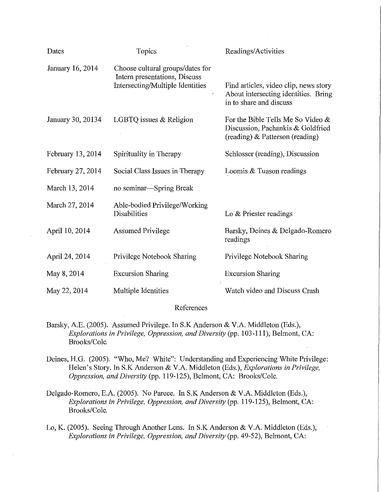| Dates             | Topics                                                                                                | Readings/Activities                                                                                       |
|-------------------|-------------------------------------------------------------------------------------------------------|-----------------------------------------------------------------------------------------------------------|
| January 16, 2014  | Choose cultural groups/dates for<br>Intern presentations, Discuss<br>Intersecting/Multiple Identities | Find articles, video clip, news story<br>About intersecting identities. Bring<br>in to share and discuss  |
| January 30, 20134 | LGBTQ issues $&$ Religion                                                                             | For the Bible Tells Me So Video &<br>Discussion, Pachankis & Goldfried<br>(reading) & Patterson (reading) |
| February 13, 2014 | Spirituality in Therapy                                                                               | Schlosser (reading), Discussion                                                                           |
| February 27, 2014 | Social Class Issues in Therapy                                                                        | Loomis & Tuason readings                                                                                  |
| March 13, 2014    | no seminar—Spring Break                                                                               |                                                                                                           |
| March 27, 2014    | Able-bodied Privilege/Working<br>Disabilities                                                         | Lo & Priester readings                                                                                    |
| April 10, 2014    | <b>Assumed Privilege</b>                                                                              | Barsky, Deines & Delgado-Romero<br>readings                                                               |
| April 24, 2014    | Privilege Notebook Sharing                                                                            | Privilege Notebook Sharing                                                                                |
| May 8, 2014       | <b>Excursion Sharing</b>                                                                              | <b>Excursion Sharing</b>                                                                                  |
| May 22, 2014      | Multiple Identities                                                                                   | Watch video and Discuss Crash                                                                             |

### References

- Barsky, A.E. (2005). Assumed Privilege. In S.K Anderson & V.A. Middleton (Eds.), *Explorations in Privilege, Oppression, and Diversity* (pp. 103-111), Belmont, CA: Brooks/Cole.
- Deines, H.G. (2005). "Who, Me? White": Understanding and Experiencing White Privilege: Helen's Story. In S.K Anderson & V.A. Middleton (Eds.), *Explorations in Privilege, Oppression, and Diversity* (pp. 119-125), Belmont, CA: Brooks/Cole.
- Delgado-Romero, E.A. (2005). No Parece. In S.K Anderson & V.A. Middleton (Eds.), *Explorations in Privilege, Oppression, and Diversity* (pp. 119-125), Belmont, CA: Brooks/Cole.
- Lo, K. (2005). Seeing Through Another Lens. In S.K Anderson & V.A. Middleton (Eds.), *Explorations in Privilege, Oppression, and Diversity* (pp. 49-52), Belmont, CA: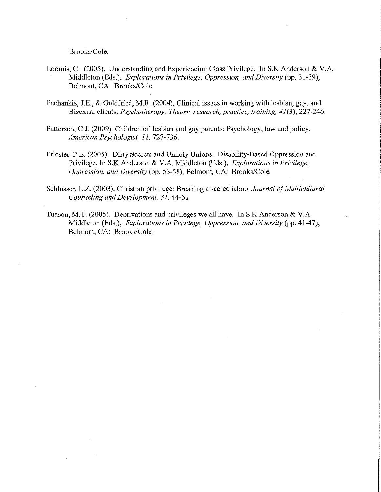Brooks/Cole.

- Loomis, C. (2005). Understanding and Experiencing Class Privilege. In S.K Anderson & V.A. Middleton (Eds.), *Explorations in Privilege, Oppression, and Diversity* (pp. 31-39), Belmont, CA: Brooks/Cole.
- Pachankis, J.E., & Goldfried, M.R. (2004). Clinical issues in working with lesbian, gay, and Bisexual clients. *Psychotherapy: Theory, research, practice, training, 41(3),* 227-246.
- Patterson, C.J. (2009). Children of lesbian and gay parents: Psychology, law and policy. *American Psychologist, 11,* 727-736.
- Priester, P.E. (2005). Dirty Secrets and Unholy Unions: Disability-Based Oppression and Privilege, In S.K Anderson & V.A. Middleton (Eds.), *Explorations in Privilege, Oppression, and Diversity* (pp. 53-58), Belmont, CA: Brooks/Cole.
- Schlosser, L.Z. (2003). Christian privilege: Breaking a sacred taboo. *Journal of Multicultural Counseling and Development, 31,* 44-51.
- Tuason, M.T. (2005). Deprivations and privileges we all have. In S.K Anderson & V.A. Middleton (Eds.), *Explorations in Privilege, Oppression, and Diversity* (pp. 41-47), Belmont, CA: Brooks/Cole.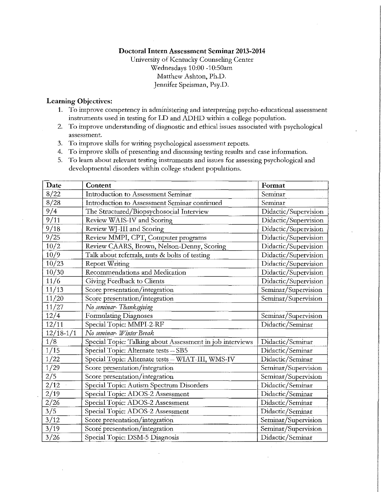### **Doctoral Intern Assessment Seminar 2013-2014**

University of Kentucky Counseling Center Wednesdays 10:00 -10:50am Matthew Ashton, Ph.D. Jennifer Speisman, Psy.D.

### **Learning Objectives:**

- **1.** To improve competency in administering and interpreting psycho-educational assessment instruments used in testing for LD and ADHD within a college population.
- 2. To improve understanding of diagnostic and ethical issues associated with psychological **assessment.**
- 3. To improve skills for writing psychological assessment reports.
- 4. To improve skills of presenting and discussing testing results and case information.
- 5. To learn about relevant testing instruments and issues for assessing psychological and developmental disorders within college student populations.

| Date           | Content                                                   | Format               |
|----------------|-----------------------------------------------------------|----------------------|
| 8/22           | Introduction to Assessment Seminar                        | Seminar              |
| 8/28           | Introduction to Assessment Seminar continued              | Seminar              |
| 9/4            | The Structured/Biopsychosocial Interview                  | Didactic/Supervision |
| 9/11           | Review WAIS-IV and Scoring                                | Didactic/Supervision |
| 9/18           | Review WJ-III and Scoring                                 | Didactic/Supervision |
| 9/25           | Review MMPI, CPT, Computer programs                       | Didactic/Supervision |
| 10/2           | Review CAARS, Brown, Nelson-Denny, Scoring                | Didactic/Supervision |
| 10/9           | Talk about referrals, nuts & bolts of testing             | Didactic/Supervision |
| 10/23          | <b>Report Writing</b>                                     | Didactic/Supervision |
| 10/30          | Recommendations and Medication                            | Didactic/Supervision |
| 11/6           | Giving Feedback to Clients                                | Didactic/Supervision |
| 11/13          | Score presentation/integration                            | Seminar/Supervision  |
| 11/20          | Score presentation/integration                            | Seminar/Supervision  |
| 11/27          | No seminar-Thanksgiving                                   |                      |
| 12/4           | Formulating Diagnoses                                     | Seminar/Supervision  |
| 12/11          | Special Topic: MMPI-2-RF                                  | Didactic/Seminar     |
| $12/18-1/1$    | No seminar- Winter Break                                  |                      |
| 1/8            | Special Topic: Talking about Assessment in job interviews | Didactic/Seminar     |
| $\frac{1}{15}$ | Special Topic: Alternate tests - SB5                      | Didactic/Seminar     |
| 1/22           | Special Topic: Alternate tests - WIAT-III, WMS-IV         | Didactic/Seminar     |
| 1/29           | Score presentation/integration                            | Seminar/Supervision  |
| 2/5            | Score presentation/integration                            | Seminar/Supervision  |
| 2/12           | Special Topic: Autism Spectrum Disorders                  | Didactic/Seminar     |
| 2/19           | Special Topic: ADOS-2 Assessment                          | Didactic/Seminar     |
| 2/26           | Special Topic: ADOS-2 Assessment                          | Didactic/Seminar     |
| 3/5            | Special Topic: ADOS-2 Assessment                          | Didactic/Seminar     |
| 3/12           | Score presentation/integration                            | Seminar/Supervision  |
| 3/19           | Score presentation/integration                            | Seminar/Supervision  |
| 3/26           | Special Topic: DSM-5 Diagnosis                            | Didactic/Seminar     |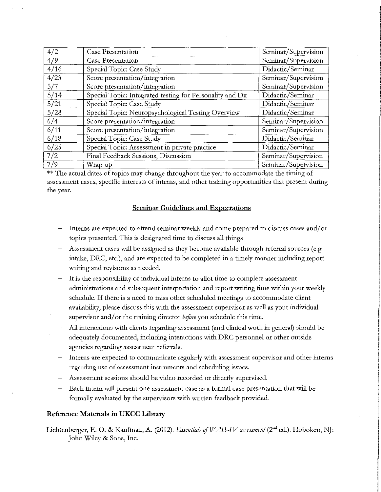| 4/2  | Case Presentation                                        | Seminar/Supervision |
|------|----------------------------------------------------------|---------------------|
| 4/9  | <b>Case Presentation</b>                                 | Seminar/Supervision |
| 4/16 | Special Topic: Case Study                                | Didactic/Seminar    |
| 4/23 | Score presentation/integration                           | Seminar/Supervision |
| 5/7  | Score presentation/integration                           | Seminar/Supervision |
| 5/14 | Special Topic: Integrated testing for Personality and Dx | Didactic/Seminar    |
| 5/21 | Special Topic: Case Study                                | Didactic/Seminar    |
| 5/28 | Special Topic: Neuropsychological Testing Overview       | Didactic/Seminar    |
| 6/4  | Score presentation/integration                           | Seminar/Supervision |
| 6/11 | Score presentation/integration                           | Seminar/Supervision |
| 6/18 | Special Topic: Case Study                                | Didactic/Seminar    |
| 6/25 | Special Topic: Assessment in private practice            | Didactic/Seminar    |
| 7/2  | Final Feedback Sessions, Discussion                      | Seminar/Supervision |
| 7/9  | Wrap-up                                                  | Seminar/Supervision |

 $**$  The actual dates of topics may change throughout the year to accommodate the timing of assessment cases, specific interests of intems, and other training opportunities that present during the year.

### **Seminar Guidelines and Expectations**

- Interns are expected to attend seminar weekly and come prepared to discuss cases and/ or topics presented. This is designated time to discuss all things
- Assessment cases will be assigned as they become available through referral sources (e.g. intake, DRC, etc.), and are expected to be completed in a timely manner including report writing and revisions as needed.
- It is the responsibility of individual interns to allot time to complete assessment administrations and subsequent interpretation and report writing time within your weekly schedule. If there is a need to miss other scheduled meetings to accommodate client availability, please discuss this with the assessment supervisor as well as your individual supervisor and/ or the training director *before* you schedule this time.
- All interactions with clients regarding assessment (and clinical work in general) should be adequately documented, including interactions with DRC personnel or other outside agencies regarding assessment referrals.
- Interns are expected to communicate regularly with assessment supervisor and other interns regarding use of assessment instruments and scheduling issues.
- Assessment sessions should be video recorded or directly supervised.
- Each intern will present one assessment case as a formal case presentation that will be formally evaluated by the supetvisors with written feedback provided.

### **Reference Materials in UKCC Library**

Lichtenberger, E. O. & Kaufman, A. (2012). *Essentials of WAIS-IV assessment* (2<sup>nd</sup> ed.). Hoboken, NJ: John Wiley & Sons, Inc.